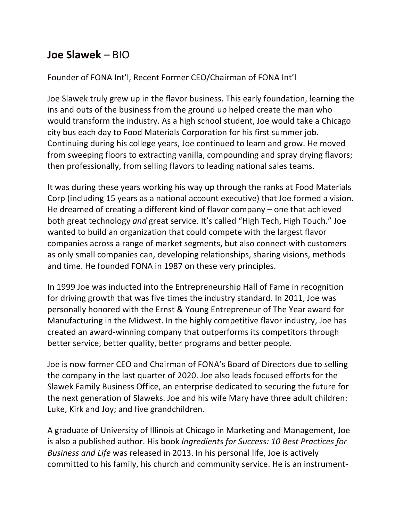## **Joe Slawek** – BIO

## Founder of FONA Int'l, Recent Former CEO/Chairman of FONA Int'l

Joe Slawek truly grew up in the flavor business. This early foundation, learning the ins and outs of the business from the ground up helped create the man who would transform the industry. As a high school student, Joe would take a Chicago city bus each day to Food Materials Corporation for his first summer job. Continuing during his college years, Joe continued to learn and grow. He moved from sweeping floors to extracting vanilla, compounding and spray drying flavors; then professionally, from selling flavors to leading national sales teams.

It was during these years working his way up through the ranks at Food Materials Corp (including 15 years as a national account executive) that Joe formed a vision. He dreamed of creating a different kind of flavor company – one that achieved both great technology *and* great service. It's called "High Tech, High Touch." Joe wanted to build an organization that could compete with the largest flavor companies across a range of market segments, but also connect with customers as only small companies can, developing relationships, sharing visions, methods and time. He founded FONA in 1987 on these very principles.

In 1999 Joe was inducted into the Entrepreneurship Hall of Fame in recognition for driving growth that was five times the industry standard. In 2011, Joe was personally honored with the Ernst & Young Entrepreneur of The Year award for Manufacturing in the Midwest. In the highly competitive flavor industry, Joe has created an award-winning company that outperforms its competitors through better service, better quality, better programs and better people.

Joe is now former CEO and Chairman of FONA's Board of Directors due to selling the company in the last quarter of 2020. Joe also leads focused efforts for the Slawek Family Business Office, an enterprise dedicated to securing the future for the next generation of Slaweks. Joe and his wife Mary have three adult children: Luke, Kirk and Joy; and five grandchildren.

A graduate of University of Illinois at Chicago in Marketing and Management, Joe is also a published author. His book *Ingredients for Success: 10 Best Practices for Business and Life* was released in 2013. In his personal life, Joe is actively committed to his family, his church and community service. He is an instrument